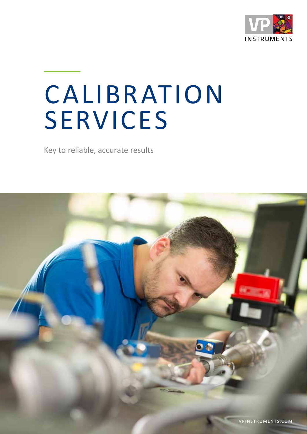

# CALIBRATION **SERVICES**

Key to reliable, accurate results

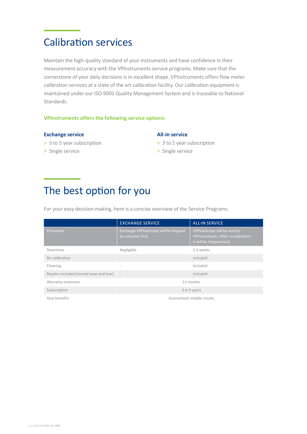## Calibration services

Maintain the high-quality standard of your instruments and have confidence in their measurement accuracy with the VPInstruments service programs. Make sure that the cornerstone of your daily decisions is in excellent shape. VPInstruments offers flow meter calibration services at a state of the art calibration facility. Our calibration equipment is maintained under our ISO 9001 Quality Management System and is traceable to National Standards.

#### **VPInstruments offers the following service options:**

#### **Exchange service**

- > 3 to 5 year subscription
- > Single service

#### **All-in service**

- > 3 to 5 year subscription
- > Single service

## The best option for you

For your easy decision making, here is a concise overview of the Service Programs.

|                                         | <b>EXCHANGE SERVICE</b>                                    | <b>ALL-IN SERVICE</b>                                                                          |
|-----------------------------------------|------------------------------------------------------------|------------------------------------------------------------------------------------------------|
| Procedure                               | Exchange VPFlowScope will be shipped<br>to customer first. | VPFlowScope will be send to<br>VPInstruments. After recalibration,<br>it will be shipped back. |
| Downtime                                | Negligible                                                 | 2-3 weeks                                                                                      |
| Re-calibration                          |                                                            | Included                                                                                       |
| Cleaning                                |                                                            | Included                                                                                       |
| Repairs included (normal wear and tear) | $\sim$                                                     | Included                                                                                       |
| Warranty extension                      | 12 months                                                  |                                                                                                |
| Subscription                            | 3 or 5 years                                               |                                                                                                |
| Your benefits                           | Guaranteed reliable results                                |                                                                                                |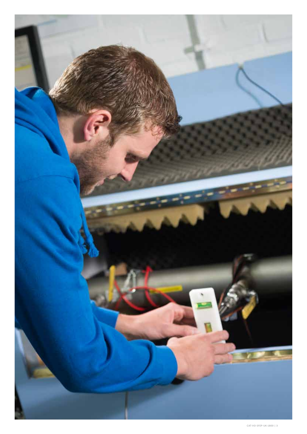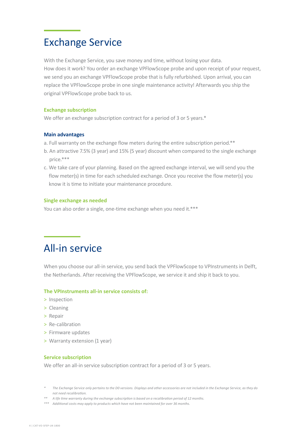## Exchange Service

With the Exchange Service, you save money and time, without losing your data. How does it work? You order an exchange VPFlowScope probe and upon receipt of your request, we send you an exchange VPFlowScope probe that is fully refurbished. Upon arrival, you can replace the VPFlowScope probe in one single maintenance activity! Afterwards you ship the original VPFlowScope probe back to us.

#### **Exchange subscription**

We offer an exchange subscription contract for a period of 3 or 5 years.\*

#### **Main advantages**

- a. Full warranty on the exchange flow meters during the entire subscription period.\*\*
- b. An attractive 7.5% (3 year) and 15% (5 year) discount when compared to the single exchange price.\*\*\*
- c. We take care of your planning. Based on the agreed exchange interval, we will send you the flow meter(s) in time for each scheduled exchange. Once you receive the flow meter(s) you know it is time to initiate your maintenance procedure.

#### **Single exchange as needed**

You can also order a single, one-time exchange when you need it.\*\*\*

## All-in service

When you choose our all-in service, you send back the VPFlowScope to VPInstruments in Delft, the Netherlands. After receiving the VPFlowScope, we service it and ship it back to you.

#### **The VPInstruments all-in service consists of:**

- > Inspection
- > Cleaning
- > Repair
- > Re-calibration
- > Firmware updates
- > Warranty extension (1 year)

#### **Service subscription**

We offer an all-in service subscription contract for a period of 3 or 5 years.

*\* The Exchange Service only pertains to the D0 versions. Displays and other accessories are not included in the Exchange Service, as they do not need recalibration.*

*<sup>\*\*</sup> A life time warranty during the exchange subscription is based on a recalibration period of 12 months.*

*<sup>\*\*\*</sup> Additional costs may apply to products which have not been maintained for over 36 months.*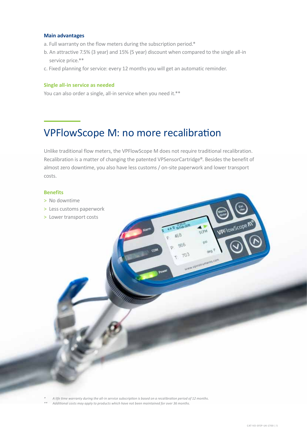#### **Main advantages**

- a. Full warranty on the flow meters during the subscription period.\*
- b. An attractive 7.5% (3 year) and 15% (5 year) discount when compared to the single all-in service price.\*\*
- c. Fixed planning for service: every 12 months you will get an automatic reminder.

#### **Single all-in service as needed**

You can also order a single, all-in service when you need it.\*\*

## VPFlowScope M: no more recalibration

Unlike traditional flow meters, the VPFlowScope M does not require traditional recalibration. Recalibration is a matter of changing the patented VPSensorCartridge®. Besides the benefit of almost zero downtime, you also have less customs / on-site paperwork and lower transport costs.

#### **Benefits**

- > No downtime
- > Less customs paperwork
- > Lower transport costs

*\* A life time warranty during the all-in service subscription is based on a recalibration period of 12 months.*

*\*\* Additional costs may apply to products which have not been maintained for over 36 months.*

**VPFlowScope** 

SCFM  $\sim$ 

erwas sipinstruments co

dels<sup>F</sup>

COR

 $703$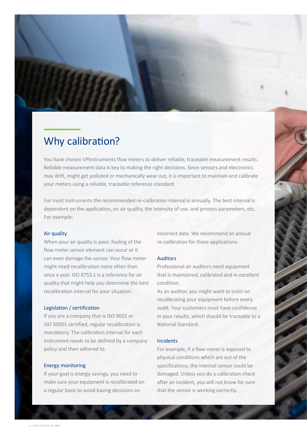## Why calibration?

You have chosen VPInstruments flow meters to deliver reliable, traceable measurement results. Reliable measurement data is key to making the right decisions. Since sensors and electronics may drift, might get polluted or mechanically wear out, it is important to maintain and calibrate your meters using a reliable, traceable reference standard.

For most instruments the recommended re-calibration interval is annually. The best interval is dependent on the application, on air quality, the intensity of use, and process parameters, etc. For example:

#### Air quality

When your air quality is poor, fouling of the flow meter sensor element can occur or it can even damage the sensor. Your flow meter might need recalibration more often than once a year. ISO 8753.1 is a reference for air quality that might help you determine the best recalibration interval for your situation.

#### Legislation / certification

If you are a company that is ISO 9001 or ISO 50001 certified, regular recalibration is mandatory. The calibration interval for each instrument needs to be defined by a company policy and then adhered to.

#### Energy monitoring

If your goal is energy savings, you need to make sure your equipment is recalibrated on a regular basis to avoid basing decisions on

incorrect data. We recommend an annual re-calibration for these applications.

#### Auditors

Professional air auditors need equipment that is maintained, calibrated and in excellent condition.

As an auditor, you might want to insist on recalibrating your equipment before every audit. Your customers must have confidence in your results, which should be traceable to a National Standard.

#### Incidents

For example, if a flow meter is exposed to physical conditions which are out of the specifications, the internal sensor could be damaged. Unless you do a calibration check after an incident, you will not know for sure that the sensor is working correctly.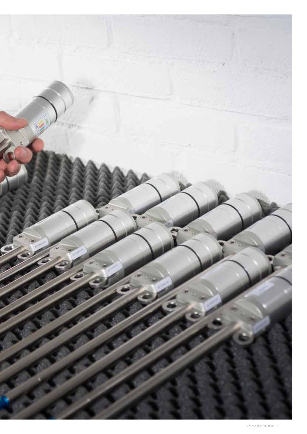